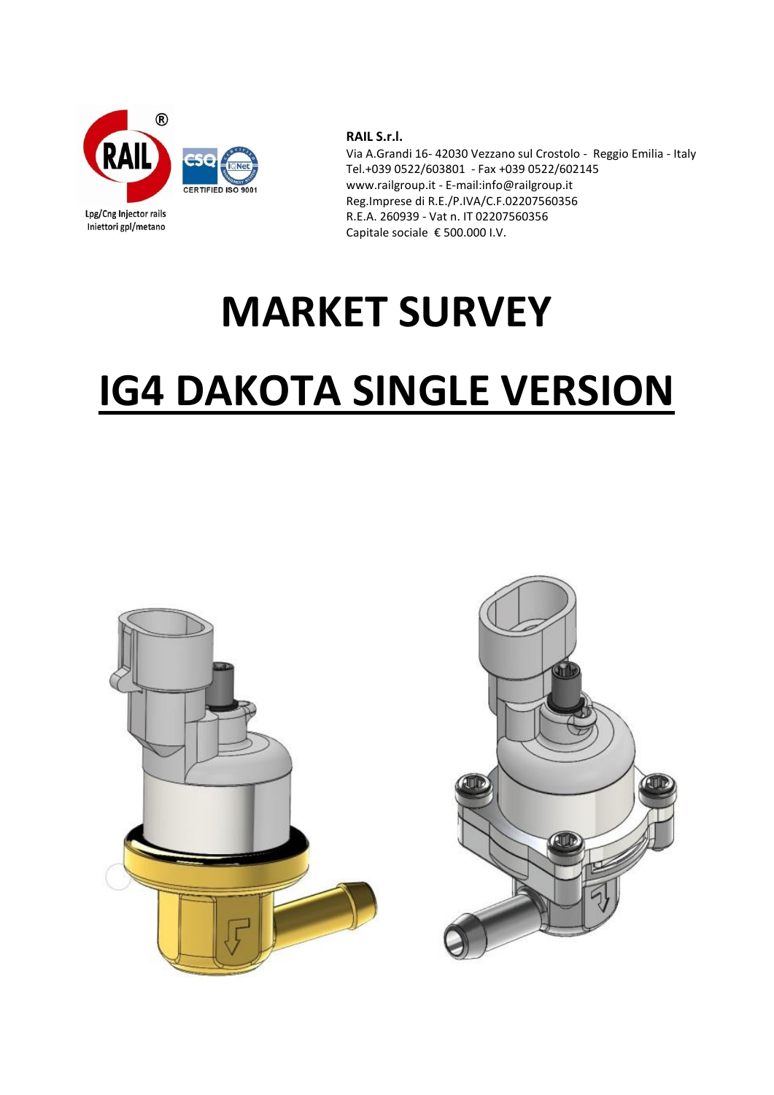

Lpg/Cng Injector rails Iniettori gpl/metano

**RAIL S.r.l.**

Via A.Grandi 16- 42030 Vezzano sul Crostolo - Reggio Emilia - Italy Tel.+039 0522/603801 - Fax +039 0522/602145 www.railgroup.it - E-mail:info@railgroup.it Reg.Imprese di R.E./P.IVA/C.F.02207560356 R.E.A. 260939 - Vat n. IT 02207560356 Capitale sociale € 500.000 I.V.

## **MARKET SURVEY**

## **IG4 DAKOTA SINGLE VERSION**